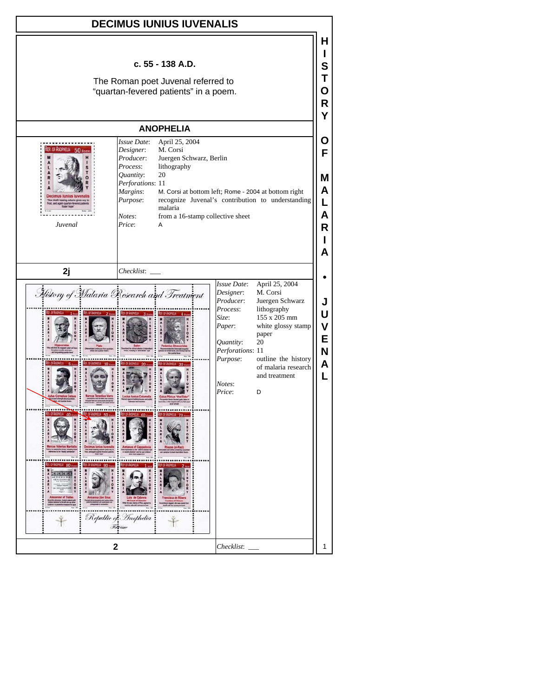